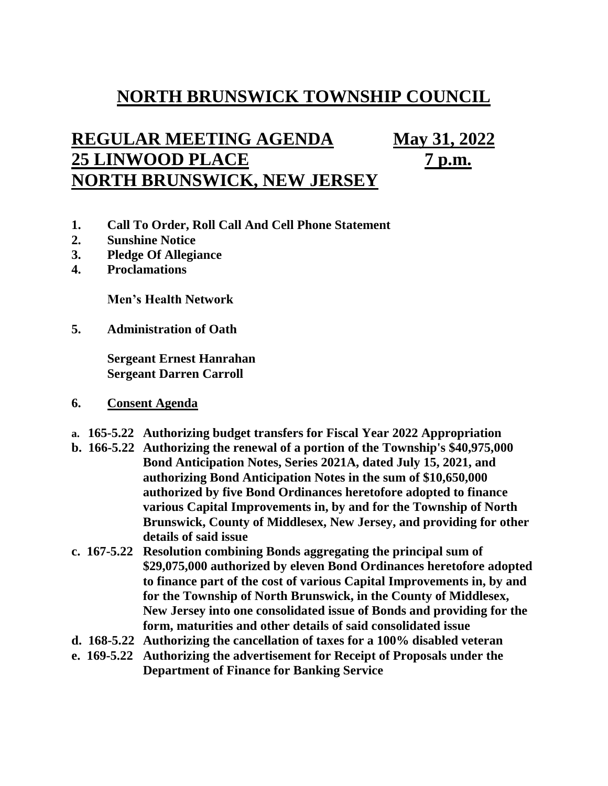## **NORTH BRUNSWICK TOWNSHIP COUNCIL**

## **REGULAR MEETING AGENDA May 31, 2022 25 LINWOOD PLACE 7 p.m. NORTH BRUNSWICK, NEW JERSEY**

- **1. Call To Order, Roll Call And Cell Phone Statement**
- **2. Sunshine Notice**
- **3. Pledge Of Allegiance**
- **4. Proclamations**

**Men's Health Network**

**5. Administration of Oath**

**Sergeant Ernest Hanrahan Sergeant Darren Carroll**

- **6. Consent Agenda**
- **a. 165-5.22 Authorizing budget transfers for Fiscal Year 2022 Appropriation**
- **b. 166-5.22 Authorizing the renewal of a portion of the Township's \$40,975,000 Bond Anticipation Notes, Series 2021A, dated July 15, 2021, and authorizing Bond Anticipation Notes in the sum of \$10,650,000 authorized by five Bond Ordinances heretofore adopted to finance various Capital Improvements in, by and for the Township of North Brunswick, County of Middlesex, New Jersey, and providing for other details of said issue**
- **c. 167-5.22 Resolution combining Bonds aggregating the principal sum of \$29,075,000 authorized by eleven Bond Ordinances heretofore adopted to finance part of the cost of various Capital Improvements in, by and for the Township of North Brunswick, in the County of Middlesex, New Jersey into one consolidated issue of Bonds and providing for the form, maturities and other details of said consolidated issue**
- **d. 168-5.22 Authorizing the cancellation of taxes for a 100% disabled veteran**
- **e. 169-5.22 Authorizing the advertisement for Receipt of Proposals under the Department of Finance for Banking Service**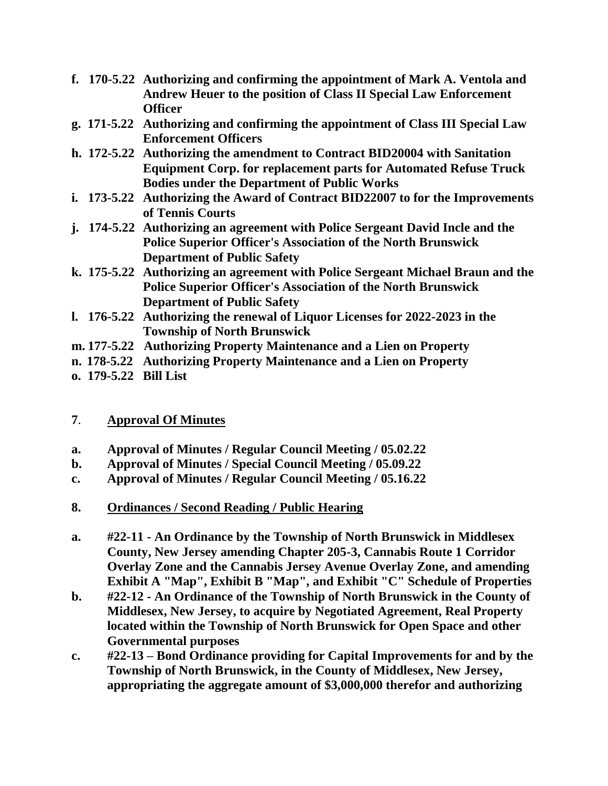- **f. 170-5.22 Authorizing and confirming the appointment of Mark A. Ventola and Andrew Heuer to the position of Class II Special Law Enforcement Officer**
- **g. 171-5.22 Authorizing and confirming the appointment of Class III Special Law Enforcement Officers**
- **h. 172-5.22 Authorizing the amendment to Contract BID20004 with Sanitation Equipment Corp. for replacement parts for Automated Refuse Truck Bodies under the Department of Public Works**
- **i. 173-5.22 Authorizing the Award of Contract BID22007 to for the Improvements of Tennis Courts**
- **j. 174-5.22 Authorizing an agreement with Police Sergeant David Incle and the Police Superior Officer's Association of the North Brunswick Department of Public Safety**
- **k. 175-5.22 Authorizing an agreement with Police Sergeant Michael Braun and the Police Superior Officer's Association of the North Brunswick Department of Public Safety**
- **l. 176-5.22 Authorizing the renewal of Liquor Licenses for 2022-2023 in the Township of North Brunswick**
- **m. 177-5.22 Authorizing Property Maintenance and a Lien on Property**
- **n. 178-5.22 Authorizing Property Maintenance and a Lien on Property**
- **o. 179-5.22 Bill List**

## **7**. **Approval Of Minutes**

- **a. Approval of Minutes / Regular Council Meeting / 05.02.22**
- **b. Approval of Minutes / Special Council Meeting / 05.09.22**
- **c. Approval of Minutes / Regular Council Meeting / 05.16.22**
- **8. Ordinances / Second Reading / Public Hearing**
- **a. #22-11 - An Ordinance by the Township of North Brunswick in Middlesex County, New Jersey amending Chapter 205-3, Cannabis Route 1 Corridor Overlay Zone and the Cannabis Jersey Avenue Overlay Zone, and amending Exhibit A "Map", Exhibit B "Map", and Exhibit "C" Schedule of Properties**
- **b. #22-12 - An Ordinance of the Township of North Brunswick in the County of Middlesex, New Jersey, to acquire by Negotiated Agreement, Real Property located within the Township of North Brunswick for Open Space and other Governmental purposes**
- **c. #22-13 – Bond Ordinance providing for Capital Improvements for and by the Township of North Brunswick, in the County of Middlesex, New Jersey, appropriating the aggregate amount of \$3,000,000 therefor and authorizing**